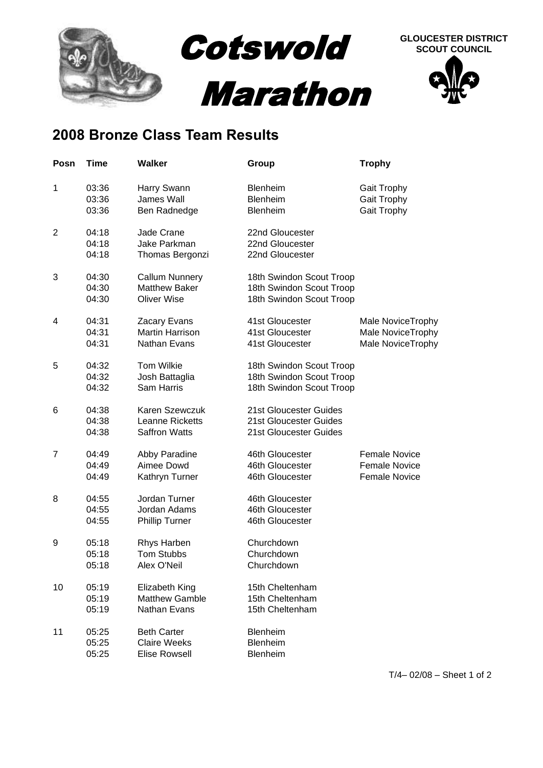

## **2008 Bronze Class Team Results**

| Posn           | Time                    | <b>Walker</b>                                                       | Group                                                                            | <b>Trophy</b>                                                        |
|----------------|-------------------------|---------------------------------------------------------------------|----------------------------------------------------------------------------------|----------------------------------------------------------------------|
| 1              | 03:36<br>03:36<br>03:36 | Harry Swann<br>James Wall<br>Ben Radnedge                           | Blenheim<br>Blenheim<br><b>Blenheim</b>                                          | Gait Trophy<br>Gait Trophy<br>Gait Trophy                            |
| $\overline{2}$ | 04:18<br>04:18<br>04:18 | Jade Crane<br>Jake Parkman<br>Thomas Bergonzi                       | 22nd Gloucester<br>22nd Gloucester<br>22nd Gloucester                            |                                                                      |
| 3              | 04:30<br>04:30<br>04:30 | <b>Callum Nunnery</b><br><b>Matthew Baker</b><br><b>Oliver Wise</b> | 18th Swindon Scout Troop<br>18th Swindon Scout Troop<br>18th Swindon Scout Troop |                                                                      |
| 4              | 04:31<br>04:31<br>04:31 | Zacary Evans<br><b>Martin Harrison</b><br>Nathan Evans              | 41st Gloucester<br>41st Gloucester<br>41st Gloucester                            | Male NoviceTrophy<br>Male NoviceTrophy<br>Male NoviceTrophy          |
| 5              | 04:32<br>04:32<br>04:32 | Tom Wilkie<br>Josh Battaglia<br>Sam Harris                          | 18th Swindon Scout Troop<br>18th Swindon Scout Troop<br>18th Swindon Scout Troop |                                                                      |
| 6              | 04:38<br>04:38<br>04:38 | Karen Szewczuk<br>Leanne Ricketts<br><b>Saffron Watts</b>           | 21st Gloucester Guides<br>21st Gloucester Guides<br>21st Gloucester Guides       |                                                                      |
| 7              | 04:49<br>04:49<br>04:49 | Abby Paradine<br>Aimee Dowd<br>Kathryn Turner                       | 46th Gloucester<br>46th Gloucester<br>46th Gloucester                            | <b>Female Novice</b><br><b>Female Novice</b><br><b>Female Novice</b> |
| 8              | 04:55<br>04:55<br>04:55 | Jordan Turner<br>Jordan Adams<br><b>Phillip Turner</b>              | 46th Gloucester<br>46th Gloucester<br>46th Gloucester                            |                                                                      |
| 9              | 05:18<br>05:18<br>05:18 | Rhys Harben<br><b>Tom Stubbs</b><br>Alex O'Neil                     | Churchdown<br>Churchdown<br>Churchdown                                           |                                                                      |
| 10             | 05:19<br>05:19<br>05:19 | Elizabeth King<br><b>Matthew Gamble</b><br>Nathan Evans             | 15th Cheltenham<br>15th Cheltenham<br>15th Cheltenham                            |                                                                      |
| 11             | 05:25<br>05:25<br>05:25 | <b>Beth Carter</b><br><b>Claire Weeks</b><br><b>Elise Rowsell</b>   | Blenheim<br>Blenheim<br>Blenheim                                                 |                                                                      |